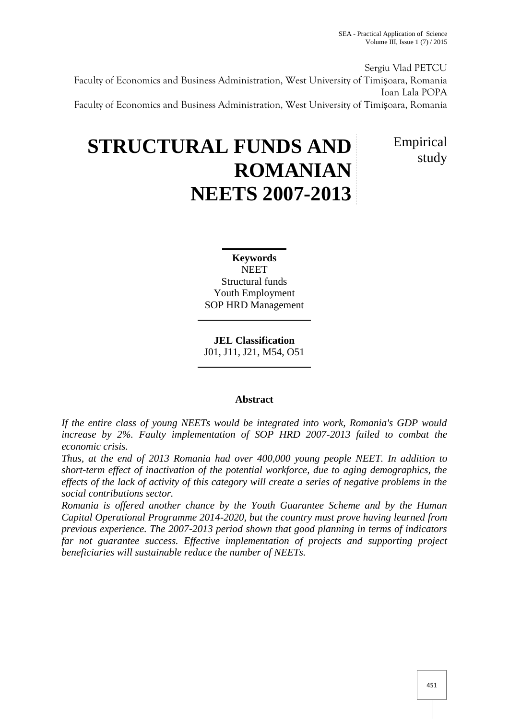Sergiu Vlad PETCU Faculty of Economics and Business Administration, West University of Timi oara, Romania Ioan Lala POPA Faculty of Economics and Business Administration, West University of Timi oara, Romania

# **STRUCTURAL FUNDS AND ROMANIAN NEETS 2007-2013**

Empirical study

**Keywords NEET** Structural funds Youth Employment SOP HRD Management

**JEL Classification** J01, J11, J21, M54, O51

## **Abstract**

*If the entire class of young NEETs would be integrated into work, Romania's GDP would increase by 2%. Faulty implementation of SOP HRD 2007-2013 failed to combat the economic crisis.*

*Thus, at the end of 2013 Romania had over 400,000 young people NEET. In addition to short-term effect of inactivation of the potential workforce, due to aging demographics, the effects of the lack of activity of this category will create a series of negative problems in the social contributions sector.*

*Romania is offered another chance by the Youth Guarantee Scheme and by the Human Capital Operational Programme 2014-2020, but the country must prove having learned from previous experience. The 2007-2013 period shown that good planning in terms of indicators far not guarantee success. Effective implementation of projects and supporting project beneficiaries will sustainable reduce the number of NEETs.*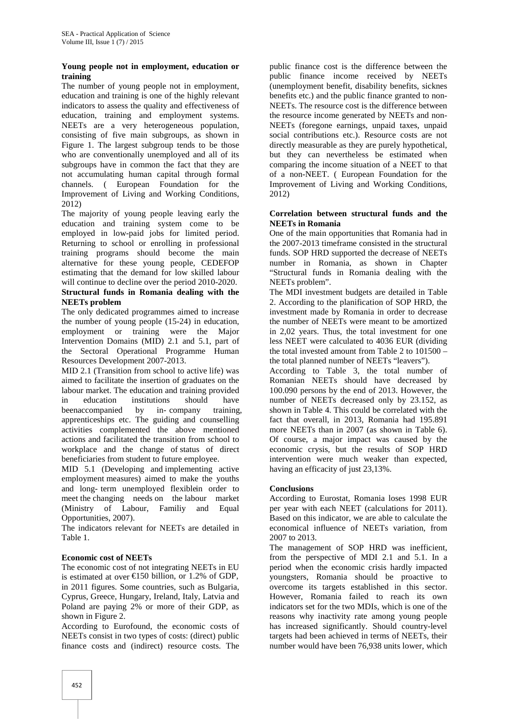#### **Young people not in employment, education or training**

The number of young people not in employment, education and training is one of the highly relevant indicators to assess the quality and effectiveness of education, training and employment systems. NEETs are a very heterogeneous population, consisting of five main subgroups, as shown in Figure 1. The largest subgroup tends to be those who are conventionally unemployed and all of its subgroups have in common the fact that they are not accumulating human capital through formal channels. ( European Foundation for the Improvement of Living and Working Conditions, 2012)

The majority of young people leaving early the education and training system come to be employed in low-paid jobs for limited period. Returning to school or enrolling in professional training programs should become the main alternative for these young people, CEDEFOP estimating that the demand for low skilled labour will continue to decline over the period 2010-2020.

#### **Structural funds in Romania dealing with the NEETs problem**

The only dedicated programmes aimed to increase the number of young people (15-24) in education, employment or training were the Major Intervention Domains (MID) 2.1 and 5.1, part of the Sectoral Operational Programme Human Resources Development 2007-2013.

MID 2.1 (Transition from school to active life) was aimed to facilitate the insertion of graduates on the labour market. The education and training provided in education institutions should have Resources Development 2007-2013.<br>
MID 2.1 (Transition from school to active life) was<br>
aimed to facilitate the insertion of graduates on the<br>
labour market. The education and training provided<br>
in education institutions sh apprenticeships etc. The guiding and counselling activities complemented the above mentioned actions and facilitated the transition from school to workplace and the change of status of direct beneficiaries from student to future employee.

MID 5.1 (Developing and implementing active employment measures) aimed to make the youths actions and facilitated the transition from school to<br>workplace and the change of status of direct<br>beneficiaries from student to future employee.<br>MID 5.1 (Developing and implementing active<br>employment measures) aimed to ma (Ministry of Labour, Familiy and Equal Opportunities, 2007).

The indicators relevant for NEETs are detailed in Table 1.

## **Economic cost of NEETs**

The economic cost of not integrating NEETs in EU is estimated at over €150 billion, or 1.2% of GDP, in 2011 figures. Some countries, such as Bulgaria, Cyprus, Greece, Hungary, Ireland, Italy, Latvia and Poland are paying 2% or more of their GDP, as shown in Figure 2.

According to Eurofound, the economic costs of NEETs consist in two types of costs: (direct) public finance costs and (indirect) resource costs. The

public finance cost is the difference between the public finance income received by NEETs (unemployment benefit, disability benefits, sicknes benefits etc.) and the public finance granted to non- NEETs. The resource cost is the difference between the resource income generated by NEETs and non- NEETs (foregone earnings, unpaid taxes, unpaid social contributions etc.). Resource costs are not directly measurable as they are purely hypothetical, but they can nevertheless be estimated when comparing the income situation of a NEET to that of a non-NEET. ( European Foundation for the Improvement of Living and Working Conditions, 2012)

#### **Correlation between structural funds and the NEETs in Romania**

One of the main opportunities that Romania had in the 2007-2013 timeframe consisted in the structural funds. SOP HRD supported the decrease of NEETs number in Romania, as shown in Chapter "Structural funds in Romania dealing with the NEETs problem".

The MDI investment budgets are detailed in Table 2. According to the planification of SOP HRD, the investment made by Romania in order to decrease the number of NEETs were meant to be amortized in 2,02 years. Thus, the total investment for one less NEET were calculated to 4036 EUR (dividing the total invested amount from Table 2 to 101500 – the total planned number of NEETs "leavers").

According to Table 3, the total number of Romanian NEETs should have decreased by 100.090 persons by the end of 2013. However, the number of NEETs decreased only by 23.152, as shown in Table 4. This could be correlated with the fact that overall, in 2013, Romania had 195.891 more NEETs than in 2007 (as shown in Table 6). Of course, a major impact was caused by the economic crysis, but the results of SOP HRD intervention were much weaker than expected, having an efficacity of just 23,13%.

#### **Conclusions**

According to Eurostat, Romania loses 1998 EUR per year with each NEET (calculations for 2011). Based on this indicator, we are able to calculate the economical influence of NEETs variation, from 2007 to 2013.

The management of SOP HRD was inefficient, from the perspective of MDI 2.1 and 5.1. In a period when the economic crisis hardly impacted youngsters, Romania should be proactive to overcome its targets established in this sector. However, Romania failed to reach its own indicators set for the two MDIs, which is one of the reasons why inactivity rate among young people has increased significantly. Should country-level targets had been achieved in terms of NEETs, their number would have been 76,938 units lower, which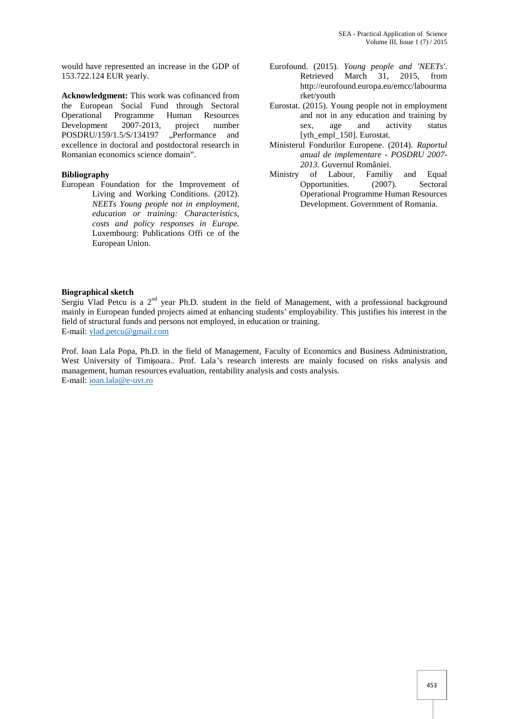would have represented an increase in the GDP of 153.722.124 EUR yearly.

**Acknowledgment:** This work was cofinanced from the European Social Fund through Sectoral Operational Programme Human Resources Development 2007-2013, project number<br>POSDRU/159/1.5/S/134197 "Performance and POSDRU/159/1.5/S/134197 excellence in doctoral and postdoctoral research in Romanian economics science domain".

#### **Bibliography**

European Foundation for the Improvement of Living and Working Conditions. (2012). *NEETs Young people not in employment, education or training: Characteristics, costs and policy responses in Europe.* Luxembourg: Publications Offi ce of the European Union.

- Eurofound. (2015). *Young people and 'NEETs'*. Retrieved March 31, 2015, from http://eurofound.europa.eu/emcc/labourma rket/youth
- Eurostat. (2015). Young people not in employment and not in any education and training by sex, age and activity status [yth\_empl\_150]. Eurostat.
- Ministerul Fondurilor Europene. (2014). *Raportul anual de implementare - POSDRU 2007- 2013.* Guvernul României.
- Ministry of Labour, Familiy and Equal Opportunities. (2007). Sectoral Operational Programme Human Resources Development. Government of Romania.

#### **Biographical sketch**

Sergiu Vlad Petcu is a  $2<sup>nd</sup>$  year Ph.D. student in the field of Management, with a professional background mainly in European funded projects aimed at enhancing students' employability. This justifies his interest in the field of structural funds and persons not employed, in education or training. E-mail: vlad.petcu@gmail.com

Prof. Ioan Lala Popa, Ph.D. in the field of Management, Faculty of Economics and Business Administration, West University of Timi oara.. Prof. Lala's research interests are mainly focused on risks analysis and management, human resources evaluation, rentability analysis and costs analysis. E-mail: ioan.lala@e-uvt.ro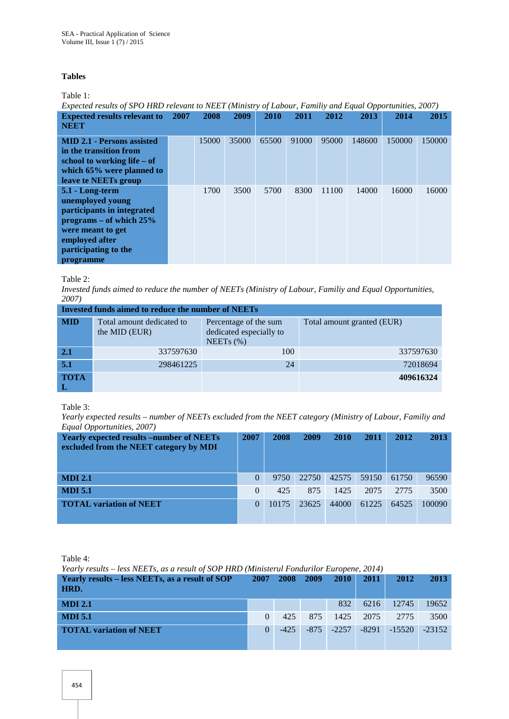#### **Tables**

Table 1:

*Expected results of SPO HRD relevant to NEET (Ministry of Labour, Familiy and Equal Opportunities, 2007)* **Expected results relevant to 2007 2008 2007 2008 2009 2010 2011 2012 2013 2014 2015**

| <b>LADOCOUG I COMIND I CIU ( MIIU CO</b><br><b>NEET</b>                                                                                                                    |       |       |       |       |       |        |        |        |
|----------------------------------------------------------------------------------------------------------------------------------------------------------------------------|-------|-------|-------|-------|-------|--------|--------|--------|
| <b>MID 2.1 - Persons assisted</b><br>in the transition from<br>school to working life $-$ of<br>which 65% were planned to<br>leave te NEETs group                          | 15000 | 35000 | 65500 | 91000 | 95000 | 148600 | 150000 | 150000 |
| 5.1 - Long-term<br>unemployed young<br>participants in integrated<br>programs – of which $25%$<br>were meant to get<br>employed after<br>participating to the<br>programme | 1700  | 3500  | 5700  | 8300  | 11100 | 14000  | 16000  | 16000  |

Table 2:

*Invested funds aimed to reduce the number of NEETs (Ministry of Labour, Familiy and Equal Opportunities, 2007)*

| <b>Invested funds aimed to reduce the number of NEETs</b> |                                            |                                                                  |                            |  |  |  |  |  |  |
|-----------------------------------------------------------|--------------------------------------------|------------------------------------------------------------------|----------------------------|--|--|--|--|--|--|
| <b>MID</b>                                                | Total amount dedicated to<br>the MID (EUR) | Percentage of the sum<br>dedicated especially to<br>NEETs $(\%)$ | Total amount granted (EUR) |  |  |  |  |  |  |
| 2.1                                                       | 337597630                                  | 100                                                              | 337597630                  |  |  |  |  |  |  |
| 5.1                                                       | 298461225                                  | 24                                                               | 72018694                   |  |  |  |  |  |  |
| <b>TOTA</b>                                               |                                            |                                                                  | 409616324                  |  |  |  |  |  |  |

Table 3:

*Yearly expected results – number of NEETs excluded from the NEET category (Ministry of Labour, Familiy and Equal Opportunities, 2007)*

| <b>Yearly expected results –number of NEETs</b><br>excluded from the NEET category by MDI | 2007     | 2008  | 2009  | <b>2010</b> | 2011  | 2012  | 2013   |
|-------------------------------------------------------------------------------------------|----------|-------|-------|-------------|-------|-------|--------|
| <b>MDI 2.1</b>                                                                            | $\Omega$ | 9750  | 22750 | 42575       | 59150 | 61750 | 96590  |
| <b>MDI 5.1</b>                                                                            | $\Omega$ | 425   | 875   | 1425        | 2075  | 2775  | 3500   |
| <b>TOTAL variation of NEET</b>                                                            | $\Omega$ | 10175 | 23625 | 44000       | 61225 | 64525 | 100090 |

Table 4:

*Yearly results – less NEETs, as a result of SOP HRD (Ministerul Fondurilor Europene, 2014)*

| Yearly results – less NEETs, as a result of SOP<br>HRD. |   | 2007 2008 2009 |     | $-2010$       | $-2011$ | 2012                      | 2013  |
|---------------------------------------------------------|---|----------------|-----|---------------|---------|---------------------------|-------|
| <b>MDI 2.1</b>                                          |   |                |     | 832           |         | 6216 12745                | 19652 |
| <b>MDI 5.1</b>                                          |   | 42.5           | 875 |               |         | 1425 2075 2775            | 3500  |
| <b>TOTAL variation of NEET</b>                          | 0 | $-425$         |     | $-875 - 2257$ |         | $-8291$ $-15520$ $-23152$ |       |
|                                                         |   |                |     |               |         |                           |       |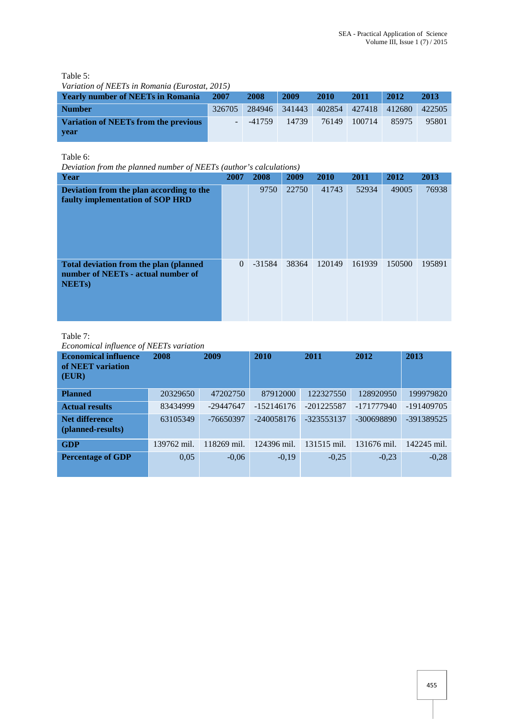Table 5:

| Variation of NEETs in Romania (Eurostat, 2015) |  |
|------------------------------------------------|--|
|------------------------------------------------|--|

| <b>Yearly number of NEETs in Romania</b>            | 2007 | 2008     | 2009  | <b>2010</b> | <b>2011</b>  | 2012                                             | 2013  |
|-----------------------------------------------------|------|----------|-------|-------------|--------------|--------------------------------------------------|-------|
| <b>Number</b>                                       |      |          |       |             |              | 326705 284946 341443 402854 427418 412680 422505 |       |
| <b>Variation of NEETs from the previous</b><br>vear |      | $-41759$ | 14739 |             | 76149 100714 | 85975                                            | 95801 |

Table 6:

*Deviation from the planned number of NEETs (author's calculations)*

| Year                                                                                         | 2007     | 2008     | 2009  | 2010   | 2011   | 2012   | 2013   |
|----------------------------------------------------------------------------------------------|----------|----------|-------|--------|--------|--------|--------|
| Deviation from the plan according to the<br>faulty implementation of SOP HRD                 |          | 9750     | 22750 | 41743  | 52934  | 49005  | 76938  |
| Total deviation from the plan (planned<br>number of NEETs - actual number of<br><b>NEETS</b> | $\theta$ | $-31584$ | 38364 | 120149 | 161939 | 150500 | 195891 |

## Table 7:

*Economical influence of NEETs variation*

| <b>Economical influence</b><br>of NEET variation<br>(EUR) | 2008        | 2009        | 2010         | 2011         | 2012         | 2013         |
|-----------------------------------------------------------|-------------|-------------|--------------|--------------|--------------|--------------|
| <b>Planned</b>                                            | 20329650    | 47202750    | 87912000     | 122327550    | 128920950    | 199979820    |
| <b>Actual results</b>                                     | 83434999    | $-29447647$ | $-152146176$ | $-201225587$ | $-171777940$ | $-191409705$ |
| <b>Net difference</b><br>(planned-results)                | 63105349    | $-76650397$ | $-240058176$ | $-323553137$ | $-300698890$ | $-391389525$ |
| <b>GDP</b>                                                | 139762 mil. | 118269 mil. | 124396 mil.  | 131515 mil.  | 131676 mil.  | 142245 mil.  |
| <b>Percentage of GDP</b>                                  | 0,05        | $-0,06$     | $-0,19$      | $-0,25$      | $-0.23$      | $-0,28$      |